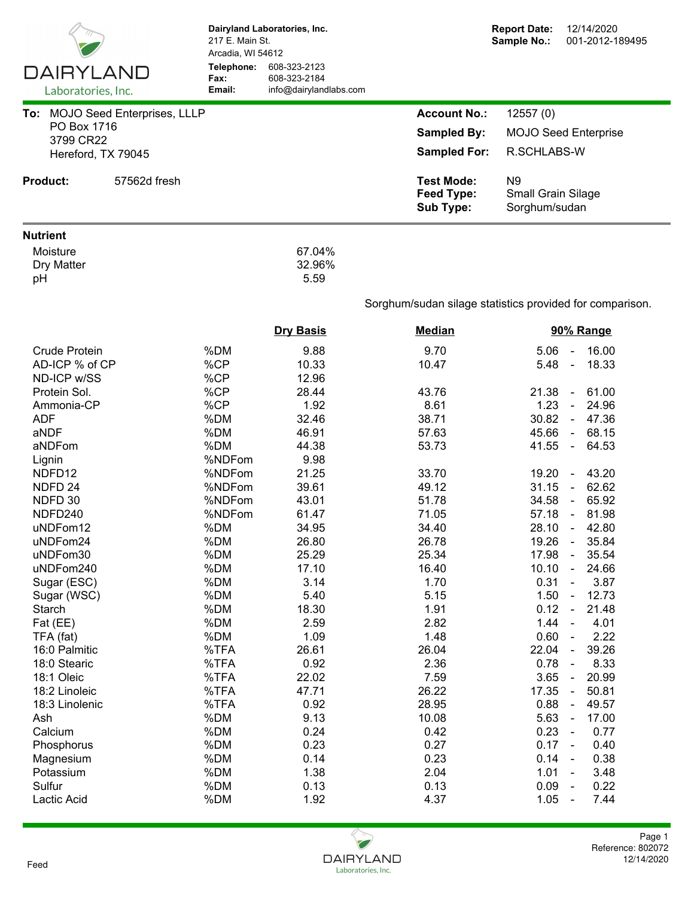|                                 |                              | Dairyland Laboratories, Inc.<br>217 E. Main St.<br>Arcadia, WI 54612 |                                                            | <b>Report Date:</b><br>12/14/2020<br>Sample No.:<br>001-2012-189495 |  |  |  |
|---------------------------------|------------------------------|----------------------------------------------------------------------|------------------------------------------------------------|---------------------------------------------------------------------|--|--|--|
| DAIRYLAND<br>Laboratories, Inc. | Telephone:<br>Fax:<br>Email: | 608-323-2123<br>608-323-2184<br>info@dairylandlabs.com               |                                                            |                                                                     |  |  |  |
| To: MOJO Seed Enterprises, LLLP |                              |                                                                      | <b>Account No.:</b>                                        | 12557(0)                                                            |  |  |  |
| PO Box 1716                     |                              |                                                                      | <b>Sampled By:</b>                                         | <b>MOJO Seed Enterprise</b>                                         |  |  |  |
| 3799 CR22<br>Hereford, TX 79045 |                              |                                                                      | <b>Sampled For:</b>                                        | R.SCHLABS-W                                                         |  |  |  |
|                                 |                              |                                                                      |                                                            |                                                                     |  |  |  |
| <b>Product:</b><br>57562d fresh |                              |                                                                      | <b>Test Mode:</b><br><b>Feed Type:</b><br><b>Sub Type:</b> | N <sub>9</sub><br><b>Small Grain Silage</b><br>Sorghum/sudan        |  |  |  |
| <b>Nutrient</b>                 |                              |                                                                      |                                                            |                                                                     |  |  |  |
| Moisture<br>Dry Matter<br>pH    |                              | 67.04%<br>32.96%<br>5.59                                             |                                                            |                                                                     |  |  |  |
|                                 |                              |                                                                      | Sorghum/sudan silage statistics provided for comparison.   |                                                                     |  |  |  |
|                                 |                              | <b>Dry Basis</b>                                                     | <b>Median</b>                                              | 90% Range                                                           |  |  |  |
| <b>Crude Protein</b>            | %DM                          | 9.88                                                                 | 9.70                                                       | 16.00<br>5.06<br>$\blacksquare$                                     |  |  |  |
| AD-ICP % of CP                  | %CP                          | 10.33                                                                | 10.47                                                      | 18.33<br>5.48<br>$\omega$                                           |  |  |  |
| ND-ICP w/SS                     | %CP                          | 12.96                                                                |                                                            |                                                                     |  |  |  |
| Protein Sol.                    | %CP                          | 28.44                                                                | 43.76                                                      | 21.38<br>61.00<br>$\blacksquare$                                    |  |  |  |
| Ammonia-CP                      | %CP                          | 1.92                                                                 | 8.61                                                       | 1.23<br>24.96<br>$\blacksquare$                                     |  |  |  |
| <b>ADF</b>                      | %DM                          | 32.46                                                                | 38.71                                                      | 30.82<br>$-47.36$                                                   |  |  |  |
| aNDF                            | %DM                          | 46.91                                                                | 57.63                                                      | 45.66<br>68.15<br>$\sim$                                            |  |  |  |
| aNDFom                          | %DM                          | 44.38                                                                | 53.73                                                      | 41.55<br>64.53<br>$\omega$                                          |  |  |  |
| Lignin                          | %NDFom                       | 9.98                                                                 |                                                            |                                                                     |  |  |  |
| NDFD <sub>12</sub>              | %NDFom                       | 21.25                                                                | 33.70                                                      | 43.20<br>19.20<br>$\blacksquare$                                    |  |  |  |
| NDFD <sub>24</sub>              | %NDFom                       | 39.61                                                                | 49.12                                                      | 62.62<br>31.15<br>$\blacksquare$                                    |  |  |  |
| NDFD 30                         | %NDFom                       | 43.01                                                                | 51.78                                                      | 65.92<br>34.58<br>$\blacksquare$                                    |  |  |  |
| NDFD240                         | %NDFom                       | 61.47                                                                | 71.05                                                      | 57.18<br>$-81.98$                                                   |  |  |  |
| uNDFom12                        | %DM                          | 34.95                                                                | 34.40                                                      | 28.10 - 42.80                                                       |  |  |  |
| uNDFom24                        | %DM                          | 26.80                                                                | 26.78                                                      | 19.26 -<br>35.84                                                    |  |  |  |
| uNDFom30                        | %DM                          | 25.29                                                                | 25.34                                                      | 35.54<br>17.98<br>$\sim$                                            |  |  |  |
| uNDFom240                       | %DM                          | 17.10                                                                | 16.40                                                      | 24.66<br>10.10<br>$\sim$                                            |  |  |  |
| Sugar (ESC)                     | %DM                          | 3.14                                                                 | 1.70                                                       | 0.31<br>3.87<br>$\blacksquare$                                      |  |  |  |
| Sugar (WSC)                     | %DM                          | 5.40                                                                 | 5.15                                                       | 1.50<br>12.73<br>$\blacksquare$                                     |  |  |  |
| Starch                          | %DM                          | 18.30                                                                | 1.91                                                       | 21.48<br>0.12<br>$\sim$                                             |  |  |  |
| Fat (EE)                        | %DM                          | 2.59                                                                 | 2.82                                                       | 1.44<br>4.01<br>$\blacksquare$                                      |  |  |  |
| TFA (fat)                       | %DM                          | 1.09                                                                 | 1.48                                                       | 0.60<br>2.22<br>$\blacksquare$                                      |  |  |  |
| 16:0 Palmitic                   | %TFA                         | 26.61                                                                | 26.04                                                      | 39.26<br>22.04<br>$\blacksquare$                                    |  |  |  |
| 18:0 Stearic                    | %TFA                         | 0.92                                                                 | 2.36                                                       | 8.33<br>0.78<br>$\blacksquare$                                      |  |  |  |
| 18:1 Oleic                      | %TFA                         | 22.02                                                                | 7.59                                                       | 3.65<br>20.99<br>$\blacksquare$                                     |  |  |  |
| 18:2 Linoleic                   | %TFA                         | 47.71                                                                | 26.22                                                      | 50.81<br>17.35<br>$\blacksquare$                                    |  |  |  |
| 18:3 Linolenic                  | %TFA                         | 0.92                                                                 | 28.95                                                      | 0.88<br>49.57<br>$\blacksquare$                                     |  |  |  |
| Ash                             | %DM                          | 9.13                                                                 | 10.08                                                      | 5.63<br>17.00<br>$\blacksquare$                                     |  |  |  |
| Calcium                         | %DM                          | 0.24                                                                 | 0.42                                                       | 0.23<br>0.77<br>$\blacksquare$                                      |  |  |  |
| Phosphorus                      | %DM                          | 0.23                                                                 | 0.27                                                       | 0.17<br>0.40<br>$\overline{\phantom{a}}$                            |  |  |  |
| Magnesium                       | %DM                          | 0.14                                                                 | 0.23                                                       | 0.14<br>0.38<br>$\blacksquare$                                      |  |  |  |
| Potassium                       | %DM                          | 1.38                                                                 | 2.04                                                       | 1.01<br>3.48                                                        |  |  |  |
| Sulfur                          | %DM                          | 0.13                                                                 | 0.13                                                       | 0.22<br>0.09                                                        |  |  |  |
| Lactic Acid                     | %DM                          | 1.92                                                                 | 4.37                                                       | 1.05<br>7.44<br>$\blacksquare$                                      |  |  |  |